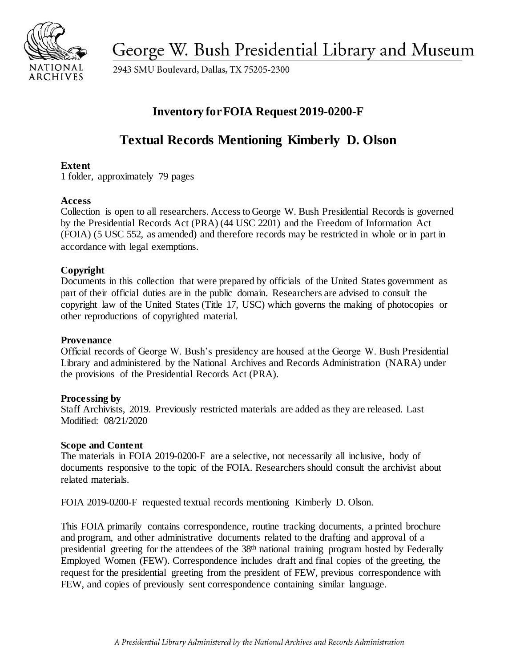

George W. Bush Presidential Library and Museum

2943 SMU Boulevard, Dallas, TX 75205-2300

# **Inventory forFOIA Request 2019-0200-F**

# **Textual Records Mentioning Kimberly D. Olson**

# **Extent**

1 folder, approximately 79 pages

## **Access**

 Collection is open to all researchers. Access to George W. Bush Presidential Records is governed by the Presidential Records Act (PRA) (44 USC 2201) and the Freedom of Information Act (FOIA) (5 USC 552, as amended) and therefore records may be restricted in whole or in part in accordance with legal exemptions.

# **Copyright**

 Documents in this collection that were prepared by officials of the United States government as part of their official duties are in the public domain. Researchers are advised to consult the copyright law of the United States (Title 17, USC) which governs the making of photocopies or other reproductions of copyrighted material.

## **Provenance**

 Official records of George W. Bush's presidency are housed at the George W. Bush Presidential Library and administered by the National Archives and Records Administration (NARA) under the provisions of the Presidential Records Act (PRA).

## **Processing by**

 Staff Archivists, 2019. Previously restricted materials are added as they are released. Last Modified: 08/21/2020

#### **Scope and Content**

 The materials in FOIA 2019-0200-F are a selective, not necessarily all inclusive, body of documents responsive to the topic of the FOIA. Researchers should consult the archivist about related materials.

FOIA 2019-0200-F requested textual records mentioning Kimberly D. Olson.

 This FOIA primarily contains correspondence, routine tracking documents, a printed brochure and program, and other administrative documents related to the drafting and approval of a presidential greeting for the attendees of the 38<sup>th</sup> national training program hosted by Federally Employed Women (FEW). Correspondence includes draft and final copies of the greeting, the request for the presidential greeting from the president of FEW, previous correspondence with FEW, and copies of previously sent correspondence containing similar language.